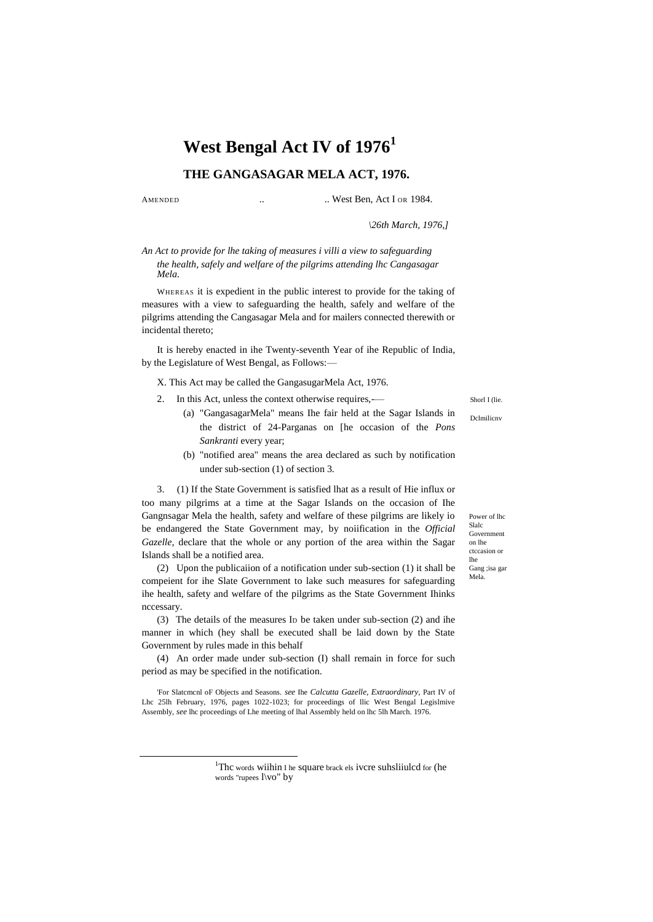# **West Bengal Act IV of 1976<sup>1</sup>**

## **THE GANGASAGAR MELA ACT, 1976.**

 $\overline{a}$ 

AMENDED ... West Ben, Act I OR 1984.

*\26th March, 1976,]*

*An Act to provide for lhe taking of measures i villi a view to safeguarding the health, safely and welfare of the pilgrims attending lhc Cangasagar Mela.*

WHEREAS it is expedient in the public interest to provide for the taking of measures with a view to safeguarding the health, safely and welfare of the pilgrims attending the Cangasagar Mela and for mailers connected therewith or incidental thereto;

It is hereby enacted in ihe Twenty-seventh Year of ihe Republic of India, by the Legislature of West Bengal, as Follows:—

X. This Act may be called the GangasugarMela Act, 1976.

- 2. In this Act, unless the context otherwise requires,-—
	- (a) "GangasagarMela" means Ihe fair held at the Sagar Islands in the district of 24-Parganas on [he occasion of the *Pons Sankranti* every year;
	- (b) "notified area" means the area declared as such by notification under sub-section (1) of section 3.

3. (1) If the State Government is satisfied lhat as a result of Hie influx or too many pilgrims at a time at the Sagar Islands on the occasion of Ihe Gangnsagar Mela the health, safety and welfare of these pilgrims are likely io be endangered the State Government may, by noiification in the *Official Gazelle,* declare that the whole or any portion of the area within the Sagar Islands shall be a notified area.

(2) Upon the publicaiion of a notification under sub-section (1) it shall be compeient for ihe Slate Government to lake such measures for safeguarding ihe health, safety and welfare of the pilgrims as the State Government Ihinks nccessary.

(3) The details of the measures I<sup>D</sup> be taken under sub-section (2) and ihe manner in which (hey shall be executed shall be laid down by the State Government by rules made in this behalf

(4) An order made under sub-section (I) shall remain in force for such period as may be specified in the notification.

'For Slatcmcnl oF Objects and Seasons. *see* Ihe *Calcutta Gazelle, Extraordinary,* Part IV of Lhc 25lh February, 1976, pages 1022-1023; for proceedings of llic West Bengal Legislmive Assembly, *see* lhc proceedings of Lhe meeting of lhal Assembly held on lhc 5lh March. 1976.

> <sup>1</sup>Thc words wiihin I he square brack els ivcre suhsliiulcd for (he words "rupees l\vo" by

Shorl I (lie.

Dclmilicnv

Power of lhc Slalc Government on lhe ctccasion or lhe Gang ;isa gar

Mela.